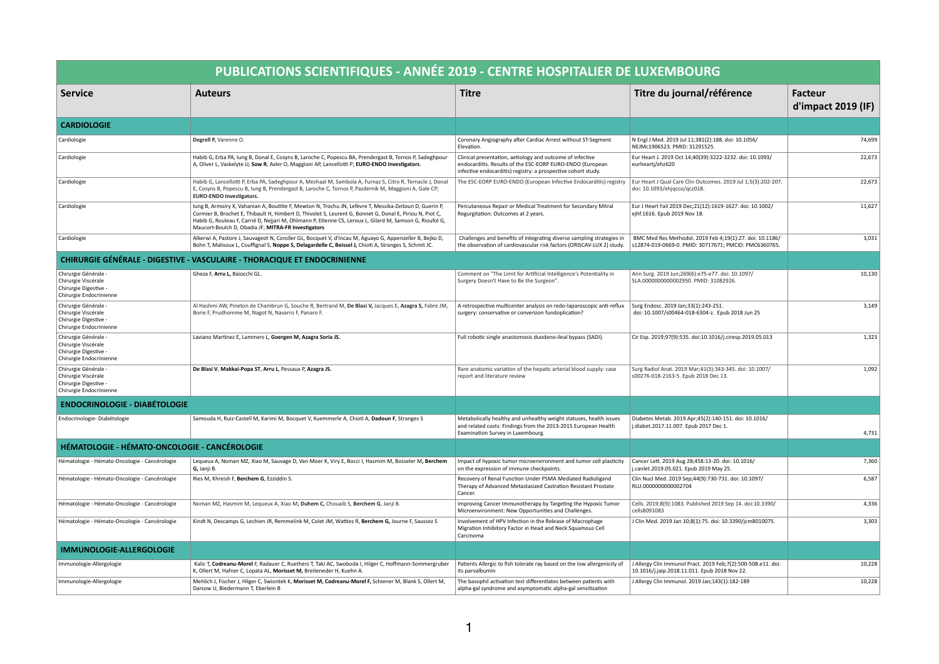|                                                                                                 | PUBLICATIONS SCIENTIFIQUES - ANNÉE 2019 - CENTRE HOSPITALIER DE LUXEMBOURG                                                                                                                                                                                                                                                                                                             |                                                                                                                                                                                         |                                                                                                                   |                                  |
|-------------------------------------------------------------------------------------------------|----------------------------------------------------------------------------------------------------------------------------------------------------------------------------------------------------------------------------------------------------------------------------------------------------------------------------------------------------------------------------------------|-----------------------------------------------------------------------------------------------------------------------------------------------------------------------------------------|-------------------------------------------------------------------------------------------------------------------|----------------------------------|
| <b>Service</b>                                                                                  | <b>Auteurs</b>                                                                                                                                                                                                                                                                                                                                                                         | <b>Titre</b>                                                                                                                                                                            | Titre du journal/référence                                                                                        | Facteur<br>$d'$ impact 2019 (IF) |
| <b>CARDIOLOGIE</b>                                                                              |                                                                                                                                                                                                                                                                                                                                                                                        |                                                                                                                                                                                         |                                                                                                                   |                                  |
| Cardiologie                                                                                     | Degrell P, Varenne O.                                                                                                                                                                                                                                                                                                                                                                  | Coronary Angiography after Cardiac Arrest without ST-Segment<br>Elevation.                                                                                                              | N Engl J Med. 2019 Jul 11;381(2):188. doi: 10.1056/<br>NEJMc1906523. PMID: 31291525.                              | 74,699                           |
| Cardiologie                                                                                     | Habib G, Erba PA, lung B, Donal E, Cosyns B, Laroche C, Popescu BA, Prendergast B, Tornos P, Sadeghpour<br>A, Oliver L, Vaskelyte JJ, Sow R, Axler O, Maggioni AP, Lancellotti P; EURO-ENDO Investigators.                                                                                                                                                                             | Clinical presentation, aetiology and outcome of infective<br>endocarditis. Results of the ESC-EORP EURO-ENDO (European<br>infective endocarditis) registry: a prospective cohort study. | Eur Heart J. 2019 Oct 14;40(39):3222-3232. doi: 10.1093/<br>eurheartj/ehz620                                      | 22,673                           |
| Cardiologie                                                                                     | Habib G, Lancellotti P, Erba PA, Sadeghpour A, Meshaal M, Sambola A, Furnaz S, Citro R, Ternacle J, Donal<br>E, Cosyns B, Popescu B, lung B, Prendergast B, Laroche C, Tornos P, Pazdernik M, Maggioni A, Gale CP;<br><b>EURO-ENDO Investigators.</b>                                                                                                                                  | The ESC-EORP EURO-ENDO (European Infective Endocarditis) registry                                                                                                                       | Eur Heart J Qual Care Clin Outcomes. 2019 Jul 1;5(3):202-207.<br>doi: 10.1093/ehjqcco/qcz018.                     | 22,673                           |
| Cardiologie                                                                                     | lung B, Armoiry X, Vahanian A, Boutitie F, Mewton N, Trochu JN, Lefèvre T, Messika-Zeitoun D, Guerin P,<br>Cormier B, Brochet E, Thibault H, Himbert D, Thivolet S, Leurent G, Bonnet G, Donal E, Piriou N, Piot C,<br>Habib G, Rouleau F, Carrié D, Nejjari M, Ohlmann P, Etienne CS, Leroux L, Gilard M, Samson G, Rioufol G,<br>Maucort-Boulch D, Obadia JF; MITRA-FR Investigators | Percutaneous Repair or Medical Treatment for Secondary Mitral<br>Regurgitation: Outcomes at 2 years.                                                                                    | Eur J Heart Fail 2019 Dec; 21(12): 1619-1627. doi: 10.1002/<br>ejhf.1616. Epub 2019 Nov 18.                       | 11,627                           |
| Cardiologie                                                                                     | Alkerwi A, Pastore J, Sauvageot N, Coroller GL, Bocquet V, d'Incau M, Aguayo G, Appenzeller B, Bejko D,<br>Bohn T, Malisoux L, Couffignal S, Noppe S, Delagardelle C, Beissel J, Chioti A, Stranges S, Schmit JC.                                                                                                                                                                      | Challenges and benefits of integrating diverse sampling strategies in<br>the observation of cardiovascular risk factors (ORISCAV-LUX 2) study.                                          | BMC Med Res Methodol. 2019 Feb 4;19(1):27. doi: 10.1186/<br>s12874-019-0669-0. PMID: 30717671; PMCID: PMC6360765. | 3,031                            |
|                                                                                                 | CHIRURGIE GÉNÉRALE - DIGESTIVE - VASCULAIRE - THORACIQUE ET ENDOCRINIENNE                                                                                                                                                                                                                                                                                                              |                                                                                                                                                                                         |                                                                                                                   |                                  |
| Chirurgie Générale -<br>Chirurgie Viscérale<br>Chirurgie Digestive -<br>Chirurgie Endocrinienne | Gheza F, Arru L, Baiocchi GL.                                                                                                                                                                                                                                                                                                                                                          | Comment on "The Limit for Artificial Intelligence's Potentiality in<br>Surgery Doesn't Have to Be the Surgeon".                                                                         | Ann Surg. 2019 Jun;269(6):e75-e77. doi: 10.1097/<br>SLA.0000000000002950. PMID: 31082926.                         | 10,130                           |
| Chirurgie Générale -<br>Chirurgie Viscérale<br>Chirurgie Digestive -<br>Chirurgie Endocrinienne | Al Hashmi AW, Pineton de Chambrun G, Souche R, Bertrand M, De Blasi V, Jacques E, Azagra S, Fabre JM,<br>Borie F, Prudhomme M, Nagot N, Navarro F, Panaro F.                                                                                                                                                                                                                           | A retrospective multicenter analysis on redo-laparoscopic anti-reflux<br>surgery: conservative or conversion fundoplication?                                                            | Surg Endosc. 2019 Jan;33(1):243-251.<br>doi: 10.1007/s00464-018-6304-z. Epub 2018 Jun 25                          | 3,149                            |
| Chirurgie Générale -<br>Chirurgie Viscérale<br>Chirurgie Digestive -<br>Chirurgie Endocrinienne | Laviano Martínez E, Lammers L, Goergen M, Azagra Soria JS.                                                                                                                                                                                                                                                                                                                             | Full robotic single anastomosis duodeno-ileal bypass (SADI).                                                                                                                            | Cir Esp. 2019;97(9):535. doi:10.1016/j.ciresp.2019.05.013                                                         | 1,323                            |
| Chirurgie Générale -<br>Chirurgie Viscérale<br>Chirurgie Digestive -<br>Chirurgie Endocrinienne | De Blasi V, Makkai-Popa ST, Arru L, Pessaux P, Azagra JS.                                                                                                                                                                                                                                                                                                                              | Rare anatomic variation of the hepatic arterial blood supply: case<br>report and literature review                                                                                      | Surg Radiol Anat. 2019 Mar;41(3):343-345. doi: 10.1007/<br>s00276-018-2163-5. Epub 2018 Dec 13.                   | 1,092                            |
| <b>ENDOCRINOLOGIE - DIABÉTOLOGIE</b>                                                            |                                                                                                                                                                                                                                                                                                                                                                                        |                                                                                                                                                                                         |                                                                                                                   |                                  |
| Endocrinologie-Diabétologie                                                                     | Samouda H, Ruiz-Castell M, Karimi M, Bocquet V, Kuemmerle A, Chioti A, Dadoun F, Stranges S                                                                                                                                                                                                                                                                                            | Metabolically healthy and unhealthy weight statuses, health issues<br>and related costs: Findings from the 2013-2015 European Health<br>Examination Survey in Luxembourg.               | Diabetes Metab. 2019 Apr;45(2):140-151. doi: 10.1016/<br>j.diabet.2017.11.007. Epub 2017 Dec 1.                   | 4,731                            |
| HÉMATOLOGIE - HÉMATO-ONCOLOGIE - CANCÉROLOGIE                                                   |                                                                                                                                                                                                                                                                                                                                                                                        |                                                                                                                                                                                         |                                                                                                                   |                                  |
| Hématologie - Hémato-Oncologie - Cancérologie                                                   | Lequeux A, Noman MZ, Xiao M, Sauvage D, Van Moer K, Viry E, Bocci I, Hasmim M, Bosseler M, Berchem<br>G, Janji B.                                                                                                                                                                                                                                                                      | Impact of hypoxic tumor microenvironment and tumor cell plasticity<br>on the expression of immune checkpoints.                                                                          | Cancer Lett. 2019 Aug 28;458:13-20. doi: 10.1016/<br>j.canlet.2019.05.021. Epub 2019 May 25.                      | 7,360                            |
| Hématologie - Hémato-Oncologie - Cancérologie                                                   | Ries M, Khreish F, Berchem G, Ezziddin S.                                                                                                                                                                                                                                                                                                                                              | Recovery of Renal Function Under PSMA Mediated Radioligand<br>Therapy of Advanced Metastasized Castration Resistant Prostate<br>Cancer.                                                 | Clin Nucl Med. 2019 Sep;44(9):730-731. doi: 10.1097/<br>RLU.0000000000002704                                      | 6,587                            |
| Hématologie - Hémato-Oncologie - Cancérologie                                                   | Noman MZ, Hasmim M, Lequeux A, Xiao M, Duhem C, Chouaib S, Berchem G, Janji B.                                                                                                                                                                                                                                                                                                         | Improving Cancer Immunotherapy by Targeting the Hypoxic Tumor<br>Microenvironment: New Opportunities and Challenges.                                                                    | Cells. 2019;8(9):1083. Published 2019 Sep 14. doi:10.3390/<br>cells8091083                                        | 4,336                            |
| Hématologie - Hémato-Oncologie - Cancérologie                                                   | Kindt N, Descamps G, Lechien JR, Remmelink M, Colet JM, Wattiez R, Berchem G, Journe F, Saussez S                                                                                                                                                                                                                                                                                      | Involvement of HPV Infection in the Release of Macrophage<br>Migration Inhibitory Factor in Head and Neck Squamous Cell<br>Carcinoma                                                    | J Clin Med. 2019 Jan 10;8(1):75. doi: 10.3390/jcm8010075.                                                         | 3,303                            |
| <b>IMMUNOLOGIE-ALLERGOLOGIE</b>                                                                 |                                                                                                                                                                                                                                                                                                                                                                                        |                                                                                                                                                                                         |                                                                                                                   |                                  |
| Immunologie-Allergologie                                                                        | Kalic T, Codreanu-Morel F, Radauer C, Ruethers T, Taki AC, Swoboda I, Hilger C, Hoffmann-Sommergruber<br>K, Ollert M, Hafner C, Lopata AL, Morisset M, Breiteneder H, Kuehn A.                                                                                                                                                                                                         | Patients Allergic to fish tolerate ray based on the low allergenicity of<br>its parvalbumin                                                                                             | J Allergy Clin Immunol Pract. 2019 Feb;7(2):500-508.e11. doi:<br>10.1016/j.jaip.2018.11.011. Epub 2018 Nov 22.    | 10,228                           |
| Immunologie-Allergologie                                                                        | Mehlich J, Fischer J, Hilger C, Swiontek K, Morisset M, Codreanu-Morel F, Schiener M, Blank S, Ollert M,<br>Darsow U, Biedermann T, Eberlein B                                                                                                                                                                                                                                         | The basophil activation test differentiates between patients with<br>alpha-gal syndrome and asymptomatic alpha-gal sensitization                                                        | J Allergy Clin Immunol. 2019 Jan;143(1):182-189                                                                   | 10,228                           |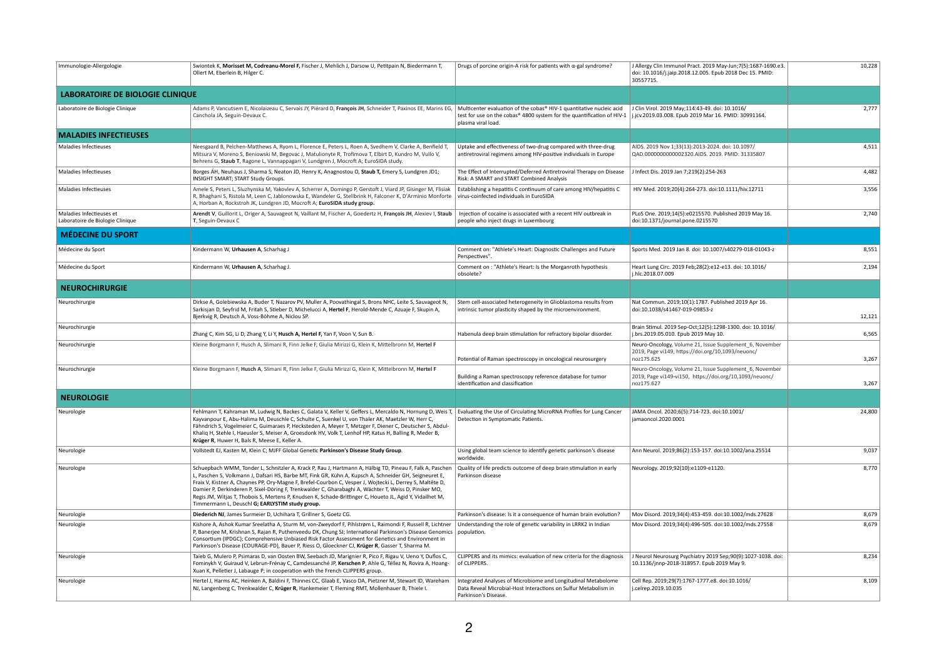| Immunologie-Allergologie                                     | Swiontek K, Morisset M, Codreanu-Morel F, Fischer J, Mehlich J, Darsow U, Petitpain N, Biedermann T<br>Ollert M, Eberlein B, Hilger C.                                                                                                                                                                                                                                                                                                                                                                                                                                                                  | Drugs of porcine origin-A risk for patients with $\alpha$ -gal syndrome?                                                                                             | J Allergy Clin Immunol Pract. 2019 May-Jun; 7(5): 1687-1690.e3.<br>doi: 10.1016/j.jaip.2018.12.005. Epub 2018 Dec 15. PMID:<br>30557715. | 10,228 |
|--------------------------------------------------------------|---------------------------------------------------------------------------------------------------------------------------------------------------------------------------------------------------------------------------------------------------------------------------------------------------------------------------------------------------------------------------------------------------------------------------------------------------------------------------------------------------------------------------------------------------------------------------------------------------------|----------------------------------------------------------------------------------------------------------------------------------------------------------------------|------------------------------------------------------------------------------------------------------------------------------------------|--------|
| <b>LABORATOIRE DE BIOLOGIE CLINIQUE</b>                      |                                                                                                                                                                                                                                                                                                                                                                                                                                                                                                                                                                                                         |                                                                                                                                                                      |                                                                                                                                          |        |
| Laboratoire de Biologie Clinique                             | Adams P, Vancutsem E, Nicolaizeau C, Servais JY, Piérard D, François JH, Schneider T, Paxinos EE, Marins EG,<br>Canchola JA, Seguin-Devaux C.                                                                                                                                                                                                                                                                                                                                                                                                                                                           | Multicenter evaluation of the cobas® HIV-1 quantitative nucleic acid<br>test for use on the cobas® 4800 system for the quantification of HIV-1<br>plasma viral load. | J Clin Virol. 2019 May;114:43-49. doi: 10.1016/<br>j.jcv.2019.03.008. Epub 2019 Mar 16. PMID: 30991164.                                  | 2,777  |
| <b>MALADIES INFECTIEUSES</b>                                 |                                                                                                                                                                                                                                                                                                                                                                                                                                                                                                                                                                                                         |                                                                                                                                                                      |                                                                                                                                          |        |
| <b>Maladies Infectieuses</b>                                 | Neesgaard B, Pelchen-Matthews A, Ryom L, Florence E, Peters L, Roen A, Svedhem V, Clarke A, Benfield T,<br>Mitsura V, Moreno S, Beniowski M, Begovac J, Matulionyte R, Trofimova T, Elbirt D, Kundro M, Vullo V,<br>Behrens G, Staub T, Ragone L, Vannappagari V, Lundgren J, Mocroft A; EuroSIDA study.                                                                                                                                                                                                                                                                                                | Uptake and effectiveness of two-drug compared with three-drug<br>antiretroviral regimens among HIV-positive individuals in Europe                                    | AIDS. 2019 Nov 1;33(13):2013-2024. doi: 10.1097/<br>QAD.0000000000002320.AIDS. 2019. PMID: 31335807                                      | 4,511  |
| Maladies Infectieuses                                        | Borges ÁH, Neuhaus J, Sharma S, Neaton JD, Henry K, Anagnostou O, Staub T, Emery S, Lundgren JD1;<br>INSIGHT SMART; START Study Groups.                                                                                                                                                                                                                                                                                                                                                                                                                                                                 | The Effect of Interrupted/Deferred Antiretroviral Therapy on Disease<br>Risk: A SMART and START Combined Analysis                                                    | J Infect Dis. 2019 Jan 7;219(2):254-263                                                                                                  | 4,482  |
| Maladies Infectieuses                                        | Amele S, Peters L, Sluzhynska M, Yakovlev A, Scherrer A, Domingo P, Gerstoft J, Viard JP, Gisinger M, Flisiak<br>R, Bhaghani S, Ristola M, Leen C, Jablonowska E, Wandeler G, Stellbrink H, Falconer K, D'Arminio Monforte<br>A, Horban A, Rockstroh JK, Lundgren JD, Mocroft A; EuroSIDA study group.                                                                                                                                                                                                                                                                                                  | Establishing a hepatitis C continuum of care among HIV/hepatitis C<br>virus-coinfected individuals in EuroSIDA                                                       | HIV Med. 2019;20(4):264-273. doi:10.1111/hiv.12711                                                                                       | 3,556  |
| Maladies Infectieuses et<br>Laboratoire de Biologie Clinique | Arendt V, Guillorit L, Origer A, Sauvageot N, Vaillant M, Fischer A, Goedertz H, François JH, Alexiev I, Staub<br>T, Seguin-Devaux C                                                                                                                                                                                                                                                                                                                                                                                                                                                                    | Injection of cocaine is associated with a recent HIV outbreak in<br>people who inject drugs in Luxembourg                                                            | PLoS One. 2019;14(5):e0215570. Published 2019 May 16.<br>doi:10.1371/journal.pone.0215570                                                | 2,740  |
| <b>MÉDECINE DU SPORT</b>                                     |                                                                                                                                                                                                                                                                                                                                                                                                                                                                                                                                                                                                         |                                                                                                                                                                      |                                                                                                                                          |        |
| Médecine du Sport                                            | Kindermann W, Urhausen A, Scharhag J                                                                                                                                                                                                                                                                                                                                                                                                                                                                                                                                                                    | Comment on: "Athlete's Heart: Diagnostic Challenges and Future<br>Perspectives".                                                                                     | Sports Med. 2019 Jan 8. doi: 10.1007/s40279-018-01043-z                                                                                  | 8,551  |
| Médecine du Sport                                            | Kindermann W, Urhausen A, Scharhag J.                                                                                                                                                                                                                                                                                                                                                                                                                                                                                                                                                                   | Comment on : "Athlete's Heart: Is the Morganroth hypothesis<br>obsolete?                                                                                             | Heart Lung Circ. 2019 Feb;28(2):e12-e13. doi: 10.1016/<br>j.hlc.2018.07.009                                                              | 2,194  |
| <b>NEUROCHIRURGIE</b>                                        |                                                                                                                                                                                                                                                                                                                                                                                                                                                                                                                                                                                                         |                                                                                                                                                                      |                                                                                                                                          |        |
| Neurochirurgie                                               | Dirkse A, Golebiewska A, Buder T, Nazarov PV, Muller A, Poovathingal S, Brons NHC, Leite S, Sauvageot N,<br>Sarkisjan D, Seyfrid M, Fritah S, Stieber D, Michelucci A, Hertel F, Herold-Mende C, Azuaje F, Skupin A,<br>Bjerkvig R, Deutsch A, Voss-Böhme A, Niclou SP.                                                                                                                                                                                                                                                                                                                                 | Stem cell-associated heterogeneity in Glioblastoma results from<br>intrinsic tumor plasticity shaped by the microenvironment.                                        | Nat Commun. 2019;10(1):1787. Published 2019 Apr 16.<br>doi:10.1038/s41467-019-09853-z                                                    | 12,121 |
| Neurochirurgie                                               | Zhang C, Kim SG, Li D, Zhang Y, Li Y, Husch A, Hertel F, Yan F, Voon V, Sun B.                                                                                                                                                                                                                                                                                                                                                                                                                                                                                                                          | Habenula deep brain stimulation for refractory bipolar disorder.                                                                                                     | Brain Stimul. 2019 Sep-Oct;12(5):1298-1300. doi: 10.1016/<br>j.brs.2019.05.010. Epub 2019 May 10.                                        | 6,565  |
| Neurochirurgie                                               | Kleine Borgmann F, Husch A, Slimani R, Finn Jelke F, Giulia Mirizzi G, Klein K, Mittelbronn M, Hertel F                                                                                                                                                                                                                                                                                                                                                                                                                                                                                                 |                                                                                                                                                                      | Neuro-Oncology, Volume 21, Issue Supplement_6, November                                                                                  |        |
|                                                              |                                                                                                                                                                                                                                                                                                                                                                                                                                                                                                                                                                                                         | Potential of Raman spectroscopy in oncological neurosurgery                                                                                                          | 2019, Page vi149, https://doi.org/10,1093/neuonc/<br>noz175.625                                                                          | 3,267  |
| Neurochirurgie                                               | Kleine Borgmann F, Husch A, Slimani R, Finn Jelke F, Giulia Mirizzi G, Klein K, Mittelbronn M, Hertel F                                                                                                                                                                                                                                                                                                                                                                                                                                                                                                 | Building a Raman spectroscopy reference database for tumor<br>identification and classification                                                                      | Neuro-Oncology, Volume 21, Issue Supplement_6, November<br>2019, Page vi149-vi150, https://doi.org/10,1093/neuonc/<br>noz175.627         | 3,267  |
| <b>NEUROLOGIE</b>                                            |                                                                                                                                                                                                                                                                                                                                                                                                                                                                                                                                                                                                         |                                                                                                                                                                      |                                                                                                                                          |        |
| Neurologie                                                   | Fehlmann T, Kahraman M, Ludwig N, Backes C, Galata V, Keller V, Geffers L, Mercaldo N, Hornung D, Weis T,<br>Kayvanpour E, Abu-Halima M, Deuschle C, Schulte C, Suenkel U, von Thaler AK, Maetzler W, Herr C,<br>Fähndrich S, Vogelmeier C, Guimaraes P, Hecksteden A, Meyer T, Metzger F, Diener C, Deutscher S, Abdul-<br>Khaliq H, Stehle I, Haeusler S, Meiser A, Groesdonk HV, Volk T, Lenhof HP, Katus H, Balling R, Meder B,<br>Krüger R, Huwer H, Bals R, Meese E, Keller A.                                                                                                                    | Evaluating the Use of Circulating MicroRNA Profiles for Lung Cancer<br>Detection in Symptomatic Patients.                                                            | JAMA Oncol. 2020;6(5):714-723. doi:10.1001/<br>jamaoncol.2020.0001                                                                       | 24,800 |
| Neurologie                                                   | Vollstedt EJ, Kasten M, Klein C; MJFF Global Genetic Parkinson's Disease Study Group.                                                                                                                                                                                                                                                                                                                                                                                                                                                                                                                   | Using global team science to identify genetic parkinson's disease<br>worldwide.                                                                                      | Ann Neurol. 2019;86(2):153-157. doi:10.1002/ana.25514                                                                                    | 9,037  |
| Neurologie                                                   | Schuepbach WMM, Tonder L, Schnitzler A, Krack P, Rau J, Hartmann A, Hälbig TD, Pineau F, Falk A, Paschen<br>, Paschen S, Volkmann J, Dafsari HS, Barbe MT, Fink GR, Kühn A, Kupsch A, Schneider GH, Seigneuret E,<br>Fraix V, Kistner A, Chaynes PP, Ory-Magne F, Brefel-Courbon C, Vesper J, Wojtecki L, Derrey S, Maltête D,<br>Damier P, Derkinderen P, Sixel-Döring F, Trenkwalder C, Gharabaghi A, Wächter T, Weiss D, Pinsker MO,<br>Regis JM, Witjas T, Thobois S, Mertens P, Knudsen K, Schade-Brittinger C, Houeto JL, Agid Y, Vidailhet M,<br>Timmermann L, Deuschl G; EARLYSTIM study group. | Quality of life predicts outcome of deep brain stimulation in early<br>Parkinson disease                                                                             | Neurology. 2019;92(10):e1109-e1120.                                                                                                      | 8,770  |
| Neurologie                                                   | Diederich NJ, James Surmeier D, Uchihara T, Grillner S, Goetz CG.                                                                                                                                                                                                                                                                                                                                                                                                                                                                                                                                       | Parkinson's disease: Is it a consequence of human brain evolution?                                                                                                   | Mov Disord. 2019;34(4):453-459. doi:10.1002/mds.27628                                                                                    | 8,679  |
| Neurologie                                                   | Kishore A, Ashok Kumar Sreelatha A, Sturm M, von-Zweydorf F, Pihlstrøm L, Raimondi F, Russell R, Lichtner<br>P, Banerjee M, Krishnan S, Rajan R, Puthenveedu DK, Chung SJ; International Parkinson's Disease Genomics<br>Consortium (IPDGC); Comprehensive Unbiased Risk Factor Assessment for Genetics and Environment in<br>Parkinson's Disease (COURAGE-PD), Bauer P, Riess O, Gloeckner CJ, Krüger R, Gasser T, Sharma M.                                                                                                                                                                           | Understanding the role of genetic variability in LRRK2 in Indian<br>$ $ population.                                                                                  | Mov Disord. 2019;34(4):496-505. doi:10.1002/mds.27558                                                                                    | 8,679  |
| Neurologie                                                   | Taieb G, Mulero P, Psimaras D, van Oosten BW, Seebach JD, Marignier R, Pico F, Rigau V, Ueno Y, Duflos C,<br>Fominykh V, Guiraud V, Lebrun-Frénay C, Camdessanché JP, Kerschen P, Ahle G, Téllez N, Rovira A, Hoang-<br>Xuan K, Pelletier J, Labauge P; in cooperation with the French CLIPPERS group.                                                                                                                                                                                                                                                                                                  | CLIPPERS and its mimics: evaluation of new criteria for the diagnosis<br>of CLIPPERS.                                                                                | J Neurol Neurosurg Psychiatry 2019 Sep;90(9):1027-1038. doi:<br>10.1136/jnnp-2018-318957. Epub 2019 May 9.                               | 8,234  |
| Neurologie                                                   | Hertel J, Harms AC, Heinken A, Baldini F, Thinnes CC, Glaab E, Vasco DA, Pietzner M, Stewart ID, Wareham<br>NJ, Langenberg C, Trenkwalder C, Krüger R, Hankemeier T, Fleming RMT, Mollenhauer B, Thiele I.                                                                                                                                                                                                                                                                                                                                                                                              | Integrated Analyses of Microbiome and Longitudinal Metabolome<br>Data Reveal Microbial-Host Interactions on Sulfur Metabolism in<br>Parkinson's Disease.             | Cell Rep. 2019;29(7):1767-1777.e8. doi:10.1016/<br>j.celrep.2019.10.035                                                                  | 8,109  |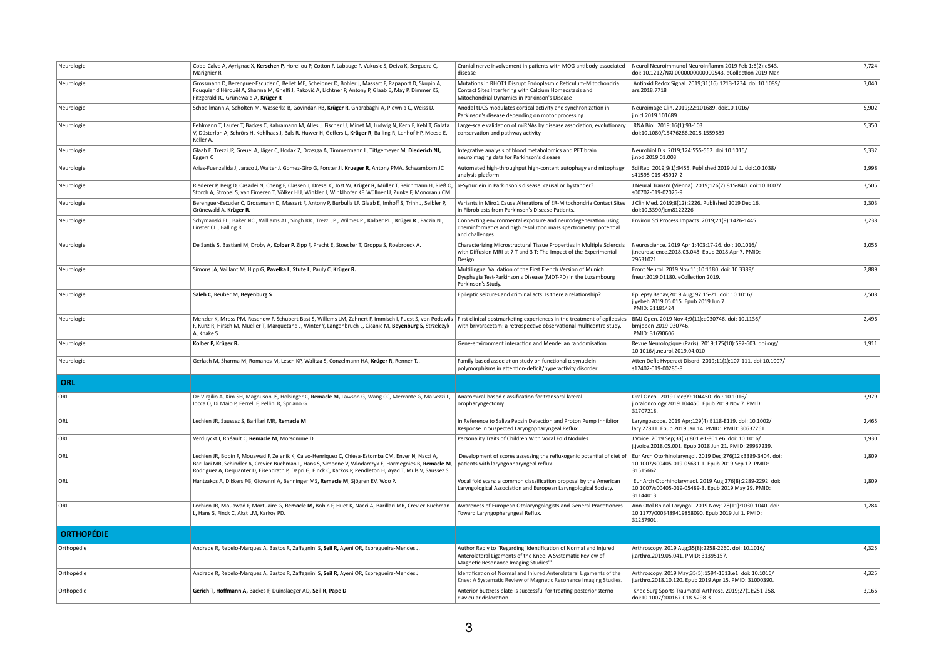| Neurologie        | Cobo-Calvo A, Ayrignac X, Kerschen P, Horellou P, Cotton F, Labauge P, Vukusic S, Deiva K, Serguera C,<br>Marignier R                                                                                                                                                                                                        | Cranial nerve involvement in patients with MOG antibody-associated<br>disease                                                                                            | Neurol Neuroimmunol Neuroinflamm 2019 Feb 1;6(2):e543.<br>doi: 10.1212/NXI.0000000000000543. eCollection 2019 Mar.                | 7,724 |
|-------------------|------------------------------------------------------------------------------------------------------------------------------------------------------------------------------------------------------------------------------------------------------------------------------------------------------------------------------|--------------------------------------------------------------------------------------------------------------------------------------------------------------------------|-----------------------------------------------------------------------------------------------------------------------------------|-------|
| Neurologie        | Grossmann D, Berenguer-Escuder C, Bellet ME, Scheibner D, Bohler J, Massart F, Rapaport D, Skupin A<br>Fouquier d'Hérouël A, Sharma M, Ghelfi J, Raković A, Lichtner P, Antony P, Glaab E, May P, Dimmer KS,<br>Fitzgerald JC, Grünewald A, Krüger R                                                                         | Mutations in RHOT1 Disrupt Endoplasmic Reticulum-Mitochondria<br>Contact Sites Interfering with Calcium Homeostasis and<br>Mitochondrial Dynamics in Parkinson's Disease | Antioxid Redox Signal. 2019;31(16):1213-1234. doi:10.1089/<br>ars.2018.7718                                                       | 7,040 |
| Neurologie        | Schoellmann A, Scholten M, Wasserka B, Govindan RB, Krüger R, Gharabaghi A, Plewnia C, Weiss D.                                                                                                                                                                                                                              | Anodal tDCS modulates cortical activity and synchronization in<br>Parkinson's disease depending on motor processing.                                                     | Neuroimage Clin. 2019;22:101689. doi:10.1016/<br>j.nicl.2019.101689                                                               | 5,902 |
| Neurologie        | Fehlmann T, Laufer T, Backes C, Kahramann M, Alles J, Fischer U, Minet M, Ludwig N, Kern F, Kehl T, Galata<br>V, Düsterloh A, Schrörs H, Kohlhaas J, Bals R, Huwer H, Geffers L, Krüger R, Balling R, Lenhof HP, Meese E,<br>Keller A.                                                                                       | Large-scale validation of miRNAs by disease association, evolutionary<br>conservation and pathway activity                                                               | RNA Biol. 2019;16(1):93-103.<br>doi:10.1080/15476286.2018.1559689                                                                 | 5,350 |
| Neurologie        | Glaab E, Trezzi JP, Greuel A, Jäger C, Hodak Z, Drzezga A, Timmermann L, Tittgemeyer M, Diederich NJ,<br>Eggers C                                                                                                                                                                                                            | Integrative analysis of blood metabolomics and PET brain<br>neuroimaging data for Parkinson's disease                                                                    | Neurobiol Dis. 2019;124:555-562. doi:10.1016/<br>j.nbd.2019.01.003                                                                | 5,332 |
| Neurologie        | Arias-Fuenzalida J, Jarazo J, Walter J, Gomez-Giro G, Forster JI, Krueger R, Antony PMA, Schwamborn JC                                                                                                                                                                                                                       | Automated high-throughput high-content autophagy and mitophagy<br>analysis platform.                                                                                     | Sci Rep. 2019;9(1):9455. Published 2019 Jul 1. doi:10.1038/<br>s41598-019-45917-2                                                 | 3,998 |
| Neurologie        | Riederer P, Berg D, Casadei N, Cheng F, Classen J, Dresel C, Jost W, Krüger R, Müller T, Reichmann H, Rieß O,<br>Storch A, Strobel S, van Eimeren T, Völker HU, Winkler J, Winklhofer KF, Wüllner U, Zunke F, Monoranu CM.                                                                                                   | $\alpha$ -Synuclein in Parkinson's disease: causal or bystander?.                                                                                                        | J Neural Transm (Vienna). 2019;126(7):815-840. doi:10.1007/<br>s00702-019-02025-9                                                 | 3,505 |
| Neurologie        | Berenguer-Escuder C, Grossmann D, Massart F, Antony P, Burbulla LF, Glaab E, Imhoff S, Trinh J, Seibler P,<br>Grünewald A, Krüger R.                                                                                                                                                                                         | Variants in Miro1 Cause Alterations of ER-Mitochondria Contact Sites<br>in Fibroblasts from Parkinson's Disease Patients.                                                | J Clin Med. 2019;8(12):2226. Published 2019 Dec 16.<br>doi:10.3390/jcm8122226                                                     | 3,303 |
| Neurologie        | Schymanski EL, Baker NC, Williams AJ, Singh RR, Trezzi JP, Wilmes P, Kolber PL, Krüger R, Paczia N,<br>Linster CL, Balling R.                                                                                                                                                                                                | Connecting environmental exposure and neurodegeneration using<br>cheminformatics and high resolution mass spectrometry: potential<br>and challenges.                     | Environ Sci Process Impacts. 2019;21(9):1426-1445.                                                                                | 3,238 |
| Neurologie        | De Santis S, Bastiani M, Droby A, Kolber P, Zipp F, Pracht E, Stoecker T, Groppa S, Roebroeck A.                                                                                                                                                                                                                             | Characterizing Microstructural Tissue Properties in Multiple Sclerosis<br>with Diffusion MRI at 7 T and 3 T: The Impact of the Experimental<br>Design.                   | Neuroscience. 2019 Apr 1;403:17-26. doi: 10.1016/<br>j.neuroscience.2018.03.048. Epub 2018 Apr 7. PMID:<br>29631021.              | 3,056 |
| Neurologie        | Simons JA, Vaillant M, Hipp G, Pavelka L, Stute L, Pauly C, Krüger R.                                                                                                                                                                                                                                                        | Multilingual Validation of the First French Version of Munich<br>Dysphagia Test-Parkinson's Disease (MDT-PD) in the Luxembourg<br>Parkinson's Study.                     | Front Neurol. 2019 Nov 11;10:1180. doi: 10.3389/<br>fneur.2019.01180. eCollection 2019.                                           | 2,889 |
| Neurologie        | Saleh C, Reuber M, Beyenburg S                                                                                                                                                                                                                                                                                               | Epileptic seizures and criminal acts: Is there a relationship?                                                                                                           | Epilepsy Behav, 2019 Aug; 97:15-21. doi: 10.1016/<br>j.yebeh.2019.05.015. Epub 2019 Jun 7.<br>PMID: 31181424                      | 2,508 |
| Neurologie        | Menzler K, Mross PM, Rosenow F, Schubert-Bast S, Willems LM, Zahnert F, Immisch I, Fuest S, von Podewils<br>F, Kunz R, Hirsch M, Mueller T, Marquetand J, Winter Y, Langenbruch L, Cicanic M, Beyenburg S, Strzelczyk<br>A, Knake S.                                                                                         | First clinical postmarketing experiences in the treatment of epilepsies<br>with brivaracetam: a retrospective observational multicentre study.                           | BMJ Open. 2019 Nov 4;9(11):e030746. doi: 10.1136/<br>bmjopen-2019-030746.<br>PMID: 31690606                                       | 2,496 |
| Neurologie        | Kolber P, Krüger R.                                                                                                                                                                                                                                                                                                          | Gene-environment interaction and Mendelian randomisation.                                                                                                                | Revue Neurologique (Paris). 2019;175(10):597-603. doi.org/<br>10.1016/j.neurol.2019.04.010                                        | 1,911 |
| Neurologie        | Gerlach M, Sharma M, Romanos M, Lesch KP, Walitza S, Conzelmann HA, Krüger R, Renner TJ.                                                                                                                                                                                                                                     | Family-based association study on functional $\alpha$ -synuclein<br>polymorphisms in attention-deficit/hyperactivity disorder                                            | Atten Defic Hyperact Disord. 2019;11(1):107-111. doi:10.1007/<br>s12402-019-00286-8                                               |       |
| <b>ORL</b>        |                                                                                                                                                                                                                                                                                                                              |                                                                                                                                                                          |                                                                                                                                   |       |
| ORL               | De Virgilio A, Kim SH, Magnuson JS, Holsinger C, Remacle M, Lawson G, Wang CC, Mercante G, Malvezzi L,<br>locca O, Di Maio P, Ferreli F, Pellini R, Spriano G.                                                                                                                                                               | Anatomical-based classification for transoral lateral<br>oropharyngectomy.                                                                                               | Oral Oncol. 2019 Dec;99:104450. doi: 10.1016/<br>j.oraloncology.2019.104450. Epub 2019 Nov 7. PMID:<br>31707218.                  | 3,979 |
| $\vert$ ORL       | Lechien JR, Saussez S, Barillari MR, Remacle M                                                                                                                                                                                                                                                                               | In Reference to Saliva Pepsin Detection and Proton Pump Inhibitor<br>Response in Suspected Laryngopharyngeal Reflux                                                      | Laryngoscope. 2019 Apr;129(4):E118-E119. doi: 10.1002/<br>lary.27811. Epub 2019 Jan 14. PMID: PMID: 30637761.                     | 2,465 |
| <b>ORL</b>        | Verduyckt I, Rhéault C, Remacle M, Morsomme D.                                                                                                                                                                                                                                                                               | Personality Traits of Children With Vocal Fold Nodules.                                                                                                                  | J Voice. 2019 Sep;33(5):801.e1-801.e6. doi: 10.1016/<br>j.jvoice.2018.05.001. Epub 2018 Jun 21. PMID: 29937239.                   | 1,930 |
| ORL               | Lechien JR, Bobin F, Mouawad F, Zelenik K, Calvo-Henriquez C, Chiesa-Estomba CM, Enver N, Nacci A,<br>Barillari MR, Schindler A, Crevier-Buchman L, Hans S, Simeone V, Wlodarczyk E, Harmegnies B, Remacle M,<br>Rodriguez A, Dequanter D, Eisendrath P, Dapri G, Finck C, Karkos P, Pendleton H, Ayad T, Muls V, Saussez S. | Development of scores assessing the refluxogenic potential of diet of<br>patients with laryngopharyngeal reflux.                                                         | Eur Arch Otorhinolaryngol. 2019 Dec; 276(12): 3389-3404. doi:<br>10.1007/s00405-019-05631-1. Epub 2019 Sep 12. PMID:<br>31515662. | 1,809 |
| ORL               | Hantzakos A, Dikkers FG, Giovanni A, Benninger MS, Remacle M, Sjögren EV, Woo P.                                                                                                                                                                                                                                             | Vocal fold scars: a common classification proposal by the American<br>Laryngological Association and European Laryngological Society.                                    | Eur Arch Otorhinolaryngol. 2019 Aug;276(8):2289-2292. doi:<br>10.1007/s00405-019-05489-3. Epub 2019 May 29. PMID:<br>31144013.    | 1,809 |
| <b>ORL</b>        | Lechien JR, Mouawad F, Mortuaire G, Remacle M, Bobin F, Huet K, Nacci A, Barillari MR, Crevier-Buchman<br>L, Hans S, Finck C, Akst LM, Karkos PD.                                                                                                                                                                            | Awareness of European Otolaryngologists and General Practitioners<br>Toward Laryngopharyngeal Reflux.                                                                    | Ann Otol Rhinol Laryngol. 2019 Nov;128(11):1030-1040. doi:<br>10.1177/0003489419858090. Epub 2019 Jul 1. PMID:<br>31257901.       | 1,284 |
| <b>ORTHOPÉDIE</b> |                                                                                                                                                                                                                                                                                                                              |                                                                                                                                                                          |                                                                                                                                   |       |
| Orthopédie        | Andrade R, Rebelo-Marques A, Bastos R, Zaffagnini S, Seil R, Ayeni OR, Espregueira-Mendes J.                                                                                                                                                                                                                                 | Author Reply to "Regarding 'Identification of Normal and Injured<br>Anterolateral Ligaments of the Knee: A Systematic Review of<br>Magnetic Resonance Imaging Studies".  | Arthroscopy. 2019 Aug;35(8):2258-2260. doi: 10.1016/<br>j.arthro.2019.05.041. PMID: 31395157.                                     | 4,325 |
| Orthopédie        | Andrade R, Rebelo-Marques A, Bastos R, Zaffagnini S, Seil R, Ayeni OR, Espregueira-Mendes J.                                                                                                                                                                                                                                 | Identification of Normal and Injured Anterolateral Ligaments of the<br>Knee: A Systematic Review of Magnetic Resonance Imaging Studies.                                  | Arthroscopy. 2019 May;35(5):1594-1613.e1. doi: 10.1016/<br>j.arthro.2018.10.120. Epub 2019 Apr 15. PMID: 31000390.                | 4,325 |
| Orthopédie        | Gerich T, Hoffmann A, Backes F, Duinslaeger AD, Seil R, Pape D                                                                                                                                                                                                                                                               | Anterior buttress plate is successful for treating posterior sterno-<br>clavicular dislocation                                                                           | Knee Surg Sports Traumatol Arthrosc. 2019;27(1):251-258.<br>doi:10.1007/s00167-018-5298-3                                         | 3,166 |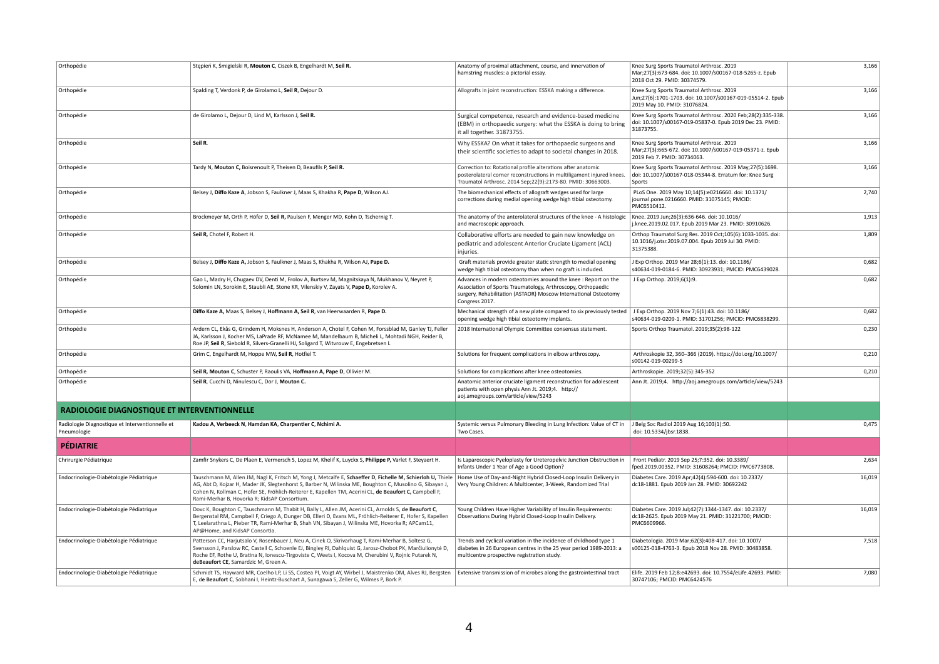| Orthopédie                                                     | Stępień K, Śmigielski R, Mouton C, Ciszek B, Engelhardt M, Seil R.                                                                                                                                                                                                                                                                                                                | Anatomy of proximal attachment, course, and innervation of<br>hamstring muscles: a pictorial essay.                                                                                                                                            | Knee Surg Sports Traumatol Arthrosc. 2019<br>Mar;27(3):673-684. doi: 10.1007/s00167-018-5265-z. Epub<br>2018 Oct 29. PMID: 30374579.    | 3,166  |
|----------------------------------------------------------------|-----------------------------------------------------------------------------------------------------------------------------------------------------------------------------------------------------------------------------------------------------------------------------------------------------------------------------------------------------------------------------------|------------------------------------------------------------------------------------------------------------------------------------------------------------------------------------------------------------------------------------------------|-----------------------------------------------------------------------------------------------------------------------------------------|--------|
| Orthopédie                                                     | Spalding T, Verdonk P, de Girolamo L, Seil R, Dejour D.                                                                                                                                                                                                                                                                                                                           | Allografts in joint reconstruction: ESSKA making a difference.                                                                                                                                                                                 | Knee Surg Sports Traumatol Arthrosc. 2019<br>Jun;27(6):1701-1703. doi: 10.1007/s00167-019-05514-2. Epub<br>2019 May 10. PMID: 31076824. | 3,166  |
| Orthopédie                                                     | de Girolamo L, Dejour D, Lind M, Karlsson J, Seil R.                                                                                                                                                                                                                                                                                                                              | Surgical competence, research and evidence-based medicine<br>(EBM) in orthopaedic surgery: what the ESSKA is doing to bring<br>it all together. 31873755.                                                                                      | Knee Surg Sports Traumatol Arthrosc. 2020 Feb;28(2):335-338.<br>doi: 10.1007/s00167-019-05837-0. Epub 2019 Dec 23. PMID:<br>31873755.   | 3,166  |
| Orthopédie                                                     | Seil R.                                                                                                                                                                                                                                                                                                                                                                           | Why ESSKA? On what it takes for orthopaedic surgeons and<br>their scientific societies to adapt to societal changes in 2018.                                                                                                                   | Knee Surg Sports Traumatol Arthrosc. 2019<br>Mar;27(3):665-672. doi: 10.1007/s00167-019-05371-z. Epub<br>2019 Feb 7. PMID: 30734063.    | 3,166  |
| Orthopédie                                                     | Tardy N, Mouton C, Boisrenoult P, Theisen D, Beaufils P, Seil R.                                                                                                                                                                                                                                                                                                                  | Correction to: Rotational profile alterations after anatomic<br>posterolateral corner reconstructions in multiligament injured knees<br>Traumatol Arthrosc. 2014 Sep;22(9):2173-80. PMID: 30663003.                                            | Knee Surg Sports Traumatol Arthrosc. 2019 May; 27(5):1698.<br>doi: 10.1007/s00167-018-05344-8. Erratum for: Knee Surg<br>Sports         | 3,166  |
| Orthopédie                                                     | Belsey J, Diffo Kaze A, Jobson S, Faulkner J, Maas S, Khakha R, Pape D, Wilson AJ.                                                                                                                                                                                                                                                                                                | The biomechanical effects of allograft wedges used for large<br>corrections during medial opening wedge high tibial osteotomy.                                                                                                                 | PLoS One. 2019 May 10;14(5):e0216660. doi: 10.1371/<br>journal.pone.0216660. PMID: 31075145; PMCID:<br>PMC6510412.                      | 2,740  |
| Orthopédie                                                     | Brockmeyer M, Orth P, Höfer D, Seil R, Paulsen F, Menger MD, Kohn D, Tschernig T.                                                                                                                                                                                                                                                                                                 | The anatomy of the anterolateral structures of the knee - A histologic<br>and macroscopic approach.                                                                                                                                            | Knee. 2019 Jun;26(3):636-646. doi: 10.1016/<br>j.knee.2019.02.017. Epub 2019 Mar 23. PMID: 30910626.                                    | 1,913  |
| Orthopédie                                                     | Seil R, Chotel F, Robert H.                                                                                                                                                                                                                                                                                                                                                       | Collaborative efforts are needed to gain new knowledge on<br>pediatric and adolescent Anterior Cruciate Ligament (ACL)<br>injuries.                                                                                                            | Orthop Traumatol Surg Res. 2019 Oct; 105(6): 1033-1035. doi:<br>10.1016/j.otsr.2019.07.004. Epub 2019 Jul 30. PMID:<br>31375388.        | 1,809  |
| Orthopédie                                                     | Belsey J, Diffo Kaze A, Jobson S, Faulkner J, Maas S, Khakha R, Wilson AJ, Pape D.                                                                                                                                                                                                                                                                                                | Graft materials provide greater static strength to medial opening<br>wedge high tibial osteotomy than when no graft is included.                                                                                                               | J Exp Orthop. 2019 Mar 28;6(1):13. doi: 10.1186/<br>s40634-019-0184-6. PMID: 30923931; PMCID: PMC6439028.                               | 0,682  |
| Orthopédie                                                     | Gao L, Madry H, Chugaev DV, Denti M, Frolov A, Burtsev M, Magnitskaya N, Mukhanov V, Neyret P,<br>Solomin LN, Sorokin E, Staubli AE, Stone KR, Vilenskiy V, Zayats V, Pape D, Korolev A.                                                                                                                                                                                          | Advances in modern osteotomies around the knee : Report on the<br>Association of Sports Traumatology, Arthroscopy, Orthopaedic<br>surgery, Rehabilitation (ASTAOR) Moscow International Osteotomy<br>Congress 2017.                            | J Exp Orthop. 2019;6(1):9.                                                                                                              | 0,682  |
| Orthopédie                                                     | Diffo Kaze A, Maas S, Belsey J, Hoffmann A, Seil R, van Heerwaarden R, Pape D.                                                                                                                                                                                                                                                                                                    | Mechanical strength of a new plate compared to six previously tested<br>opening wedge high tibial osteotomy implants.                                                                                                                          | J Exp Orthop. 2019 Nov 7;6(1):43. doi: 10.1186/<br>s40634-019-0209-1. PMID: 31701256; PMCID: PMC6838299.                                | 0,682  |
| Orthopédie                                                     | Ardern CL, Ekås G, Grindem H, Moksnes H, Anderson A, Chotel F, Cohen M, Forssblad M, Ganley TJ, Feller<br>JA, Karlsson J, Kocher MS, LaPrade RF, McNamee M, Mandelbaum B, Micheli L, Mohtadi NGH, Reider B,<br>Roe JP, Seil R, Siebold R, Silvers-Granelli HJ, Soligard T, Witvrouw E, Engebretsen L                                                                              | 2018 International Olympic Committee consensus statement.                                                                                                                                                                                      | Sports Orthop Traumatol. 2019;35(2):98-122                                                                                              | 0,230  |
| Orthopédie                                                     | Grim C, Engelhardt M, Hoppe MW, Seil R, Hotfiel T.                                                                                                                                                                                                                                                                                                                                | Solutions for frequent complications in elbow arthroscopy.                                                                                                                                                                                     | Arthroskopie 32, 360-366 (2019). https://doi.org/10.1007/<br>s00142-019-00299-5                                                         | 0,210  |
| Orthopédie                                                     | Seil R, Mouton C, Schuster P, Raoulis VA, Hoffmann A, Pape D, Ollivier M.                                                                                                                                                                                                                                                                                                         | Solutions for complications after knee osteotomies.                                                                                                                                                                                            | Arthroskopie. 2019;32(5):345-352                                                                                                        | 0,210  |
| Orthopédie                                                     | Seil R, Cucchi D, Ninulescu C, Dor J, Mouton C.                                                                                                                                                                                                                                                                                                                                   | Anatomic anterior cruciate ligament reconstruction for adolescent<br>patients with open physis Ann Jt. 2019;4. http://<br>aoj.amegroups.com/article/view/5243                                                                                  | Ann Jt. 2019;4. http://aoj.amegroups.com/article/view/5243                                                                              |        |
| <b>RADIOLOGIE DIAGNOSTIQUE ET INTERVENTIONNELLE</b>            |                                                                                                                                                                                                                                                                                                                                                                                   |                                                                                                                                                                                                                                                |                                                                                                                                         |        |
| Radiologie Diagnostique et Interventionnelle et<br>Pneumologie | Kadou A, Verbeeck N, Hamdan KA, Charpentier C, Nchimi A.                                                                                                                                                                                                                                                                                                                          | Systemic versus Pulmonary Bleeding in Lung Infection: Value of CT in<br>Two Cases.                                                                                                                                                             | J Belg Soc Radiol 2019 Aug 16;103(1):50.<br>doi: 10.5334/jbsr.1838.                                                                     | 0,475  |
| <b>PÉDIATRIE</b>                                               |                                                                                                                                                                                                                                                                                                                                                                                   |                                                                                                                                                                                                                                                |                                                                                                                                         |        |
| Chrirurgie Pédiatrique                                         | Zamfir Snykers C, De Plaen E, Vermersch S, Lopez M, Khelif K, Luyckx S, Philippe P, Varlet F, Steyaert H.                                                                                                                                                                                                                                                                         | Is Laparoscopic Pyeloplasty for Ureteropelvic Junction Obstruction in<br>Infants Under 1 Year of Age a Good Option?                                                                                                                            | Front Pediatr. 2019 Sep 25;7:352. doi: 10.3389/<br>fped.2019.00352. PMID: 31608264; PMCID: PMC6773808.                                  | 2,634  |
| Endocrinologie-Diabétologie Pédiatrique                        | Tauschmann M, Allen JM, Nagl K, Fritsch M, Yong J, Metcalfe E, Schaeffer D, Fichelle M, Schierloh U, Thiele<br>AG, Abt D, Kojzar H, Mader JK, Slegtenhorst S, Barber N, Wilinska ME, Boughton C, Musolino G, Sibayan J,<br>Cohen N, Kollman C, Hofer SE, Fröhlich-Reiterer E, Kapellen TM, Acerini CL, de Beaufort C, Campbell F,<br>Rami-Merhar B, Hovorka R; KidsAP Consortium. | Home Use of Day-and-Night Hybrid Closed-Loop Insulin Delivery in<br>Very Young Children: A Multicenter, 3-Week, Randomized Trial                                                                                                               | Diabetes Care. 2019 Apr;42(4):594-600. doi: 10.2337/<br>dc18-1881. Epub 2019 Jan 28. PMID: 30692242                                     | 16,019 |
| Endocrinologie-Diabétologie Pédiatrique                        | Dovc K, Boughton C, Tauschmann M, Thabit H, Bally L, Allen JM, Acerini CL, Arnolds S, de Beaufort C,<br>Bergenstal RM, Campbell F, Criego A, Dunger DB, Elleri D, Evans ML, Fröhlich-Reiterer E, Hofer S, Kapellen<br>T, Leelarathna L, Pieber TR, Rami-Merhar B, Shah VN, Sibayan J, Wilinska ME, Hovorka R; APCam11,<br>AP@Home, and KidsAP Consortia.                          | Young Children Have Higher Variability of Insulin Requirements:<br>Observations During Hybrid Closed-Loop Insulin Delivery.                                                                                                                    | Diabetes Care. 2019 Jul;42(7):1344-1347. doi: 10.2337/<br>dc18-2625. Epub 2019 May 21. PMID: 31221700; PMCID:<br>PMC6609966.            | 16,019 |
| Endocrinologie-Diabétologie Pédiatrique                        | Patterson CC, Harjutsalo V, Rosenbauer J, Neu A, Cinek O, Skrivarhaug T, Rami-Merhar B, Soltesz G,<br>Svensson J, Parslow RC, Castell C, Schoenle EJ, Bingley PJ, Dahlquist G, Jarosz-Chobot PK, Marčiulionytė D,<br>Roche EF, Rothe U, Bratina N, Ionescu-Tirgoviste C, Weets I, Kocova M, Cherubini V, Rojnic Putarek N,<br>deBeaufort CE, Samardzic M, Green A.                | Trends and cyclical variation in the incidence of childhood type 1<br>diabetes in 26 European centres in the 25 year period 1989-2013: a   s00125-018-4763-3. Epub 2018 Nov 28. PMID: 30483858.<br>multicentre prospective registration study. | Diabetologia. 2019 Mar;62(3):408-417. doi: 10.1007/                                                                                     | 7,518  |
| Endocrinologie-Diabétologie Pédiatrique                        | Schmidt TS, Hayward MR, Coelho LP, Li SS, Costea PI, Voigt AY, Wirbel J, Maistrenko OM, Alves RJ, Bergsten<br>E, de Beaufort C, Sobhani I, Heintz-Buschart A, Sunagawa S, Zeller G, Wilmes P, Bork P.                                                                                                                                                                             | Extensive transmission of microbes along the gastrointestinal tract                                                                                                                                                                            | Elife. 2019 Feb 12;8:e42693. doi: 10.7554/eLife.42693. PMID:<br>30747106; PMCID: PMC6424576                                             | 7,080  |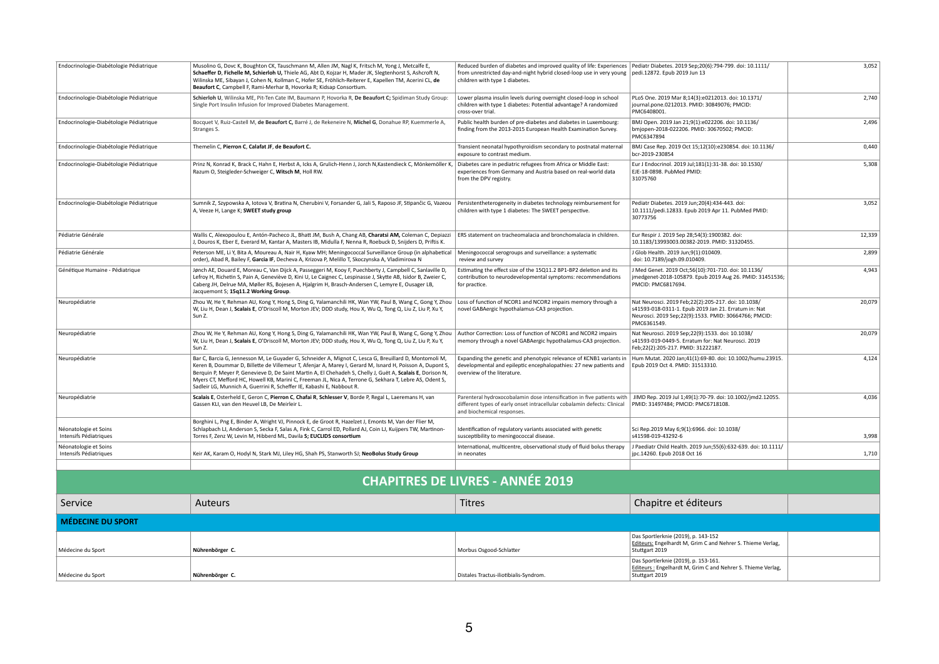| Endocrinologie-Diabétologie Pédiatrique         | Musolino G, Dovc K, Boughton CK, Tauschmann M, Allen JM, Nagl K, Fritsch M, Yong J, Metcalfe E,<br>Schaeffer D, Fichelle M, Schierloh U, Thiele AG, Abt D, Kojzar H, Mader JK, Slegtenhorst S, Ashcroft N,<br>Wilinska ME, Sibayan J, Cohen N, Kollman C, Hofer SE, Fröhlich-Reiterer E, Kapellen TM, Acerini CL, de<br>Beaufort C, Campbell F, Rami-Merhar B, Hovorka R; Kidsap Consortium.                                                                                                                          | Reduced burden of diabetes and improved quality of life: Experiences   Pediatr Diabetes. 2019 Sep;20(6):794-799. doi: 10.1111/<br>from unrestricted day-and-night hybrid closed-loop use in very young   pedi.12872. Epub 2019 Jun 13<br>children with type 1 diabetes. |                                                                                                                                                                                     | 3,052  |
|-------------------------------------------------|-----------------------------------------------------------------------------------------------------------------------------------------------------------------------------------------------------------------------------------------------------------------------------------------------------------------------------------------------------------------------------------------------------------------------------------------------------------------------------------------------------------------------|-------------------------------------------------------------------------------------------------------------------------------------------------------------------------------------------------------------------------------------------------------------------------|-------------------------------------------------------------------------------------------------------------------------------------------------------------------------------------|--------|
| Endocrinologie-Diabétologie Pédiatrique         | Schierloh U, Wilinska ME, Pit-Ten Cate IM, Baumann P, Hovorka R, De Beaufort C; Spidiman Study Group:<br>Single Port Insulin Infusion for Improved Diabetes Management.                                                                                                                                                                                                                                                                                                                                               | Lower plasma insulin levels during overnight closed-loop in school<br>children with type 1 diabetes: Potential advantage? A randomized<br>cross-over trial.                                                                                                             | PLoS One. 2019 Mar 8;14(3):e0212013. doi: 10.1371/<br>journal.pone.0212013. PMID: 30849076; PMCID:<br>PMC6408001.                                                                   | 2,740  |
| Endocrinologie-Diabétologie Pédiatrique         | Bocquet V, Ruiz-Castell M, de Beaufort C, Barré J, de Rekeneire N, Michel G, Donahue RP, Kuemmerle A,<br>Stranges S.                                                                                                                                                                                                                                                                                                                                                                                                  | Public health burden of pre-diabetes and diabetes in Luxembourg<br>finding from the 2013-2015 European Health Examination Survey.                                                                                                                                       | BMJ Open. 2019 Jan 21;9(1):e022206. doi: 10.1136/<br>bmjopen-2018-022206. PMID: 30670502; PMCID:<br>PMC6347894                                                                      | 2,496  |
| Endocrinologie-Diabétologie Pédiatrique         | Themelin C, Pierron C, Calafat JF, de Beaufort C.                                                                                                                                                                                                                                                                                                                                                                                                                                                                     | Transient neonatal hypothyroidism secondary to postnatal materna<br>exposure to contrast medium.                                                                                                                                                                        | BMJ Case Rep. 2019 Oct 15;12(10):e230854. doi: 10.1136/<br>bcr-2019-230854                                                                                                          | 0,440  |
| Endocrinologie-Diabétologie Pédiatrique         | Prinz N, Konrad K, Brack C, Hahn E, Herbst A, Icks A, Grulich-Henn J, Jorch N, Kastendieck C, Mönkemöller K,<br>Razum O, Steigleder-Schweiger C, Witsch M, Holl RW.                                                                                                                                                                                                                                                                                                                                                   | Diabetes care in pediatric refugees from Africa or Middle East:<br>experiences from Germany and Austria based on real-world data<br>from the DPV registry.                                                                                                              | Eur J Endocrinol. 2019 Jul;181(1):31-38. doi: 10.1530/<br>EJE-18-0898. PubMed PMID:<br>31075760                                                                                     | 5,308  |
| Endocrinologie-Diabétologie Pédiatrique         | Sumnik Z, Szypowska A, Iotova V, Bratina N, Cherubini V, Forsander G, Jali S, Raposo JF, Stipančic G, Vazeou<br>A, Veeze H, Lange K; SWEET study group                                                                                                                                                                                                                                                                                                                                                                | Persistentheterogeneity in diabetes technology reimbursement for<br>children with type 1 diabetes: The SWEET perspective.                                                                                                                                               | Pediatr Diabetes. 2019 Jun;20(4):434-443. doi:<br>10.1111/pedi.12833. Epub 2019 Apr 11. PubMed PMID:<br>30773756                                                                    | 3,052  |
| Pédiatrie Générale                              | Wallis C, Alexopoulou E, Antón-Pacheco JL, Bhatt JM, Bush A, Chang AB, Charatsi AM, Coleman C, Depiazzi<br>J, Douros K, Eber E, Everard M, Kantar A, Masters IB, Midulla F, Nenna R, Roebuck D, Snijders D, Priftis K.                                                                                                                                                                                                                                                                                                | ERS statement on tracheomalacia and bronchomalacia in children.                                                                                                                                                                                                         | Eur Respir J. 2019 Sep 28;54(3):1900382. doi:<br>10.1183/13993003.00382-2019. PMID: 31320455.                                                                                       | 12,339 |
| Pédiatrie Générale                              | Peterson ME, Li Y, Bita A, Moureau A, Nair H, Kyaw MH; Meningococcal Surveillance Group (in alphabetical<br>order), Abad R, Bailey F, Garcia IF, Decheva A, Krizova P, Melillo T, Skoczynska A, Vladimirova N                                                                                                                                                                                                                                                                                                         | Meningococcal serogroups and surveillance: a systematic<br>review and survey                                                                                                                                                                                            | J Glob Health. 2019 Jun;9(1):010409.<br>doi: 10.7189/jogh.09.010409.                                                                                                                | 2,899  |
| Génétique Humaine - Pédiatrique                 | Jønch AE, Douard E, Moreau C, Van Dijck A, Passeggeri M, Kooy F, Puechberty J, Campbell C, Sanlaville D,<br>Lefroy H, Richetin S, Pain A, Geneviève D, Kini U, Le Caignec C, Lespinasse J, Skytte AB, Isidor B, Zweier C,<br>Caberg JH, Delrue MA, Møller RS, Bojesen A, Hjalgrim H, Brasch-Andersen C, Lemyre E, Ousager LB,<br>Jacquemont S; 15q11.2 Working Group.                                                                                                                                                 | Estimating the effect size of the 15Q11.2 BP1-BP2 deletion and its<br>contribution to neurodevelopmental symptoms: recommendations<br>for practice.                                                                                                                     | J Med Genet. 2019 Oct;56(10):701-710. doi: 10.1136/<br>jmedgenet-2018-105879. Epub 2019 Aug 26. PMID: 31451536;<br>PMCID: PMC6817694.                                               | 4,943  |
| Neuropédiatrie                                  | Zhou W, He Y, Rehman AU, Kong Y, Hong S, Ding G, Yalamanchili HK, Wan YW, Paul B, Wang C, Gong Y, Zhou   Loss of function of NCOR1 and NCOR2 impairs memory through a<br>W, Liu H, Dean J, Scalais E, O'Driscoll M, Morton JEV; DDD study, Hou X, Wu Q, Tong Q, Liu Z, Liu P, Xu Y,<br>Sun Z.                                                                                                                                                                                                                         | novel GABAergic hypothalamus-CA3 projection.                                                                                                                                                                                                                            | Nat Neurosci. 2019 Feb;22(2):205-217. doi: 10.1038/<br>s41593-018-0311-1. Epub 2019 Jan 21. Erratum in: Nat<br>Neurosci. 2019 Sep;22(9):1533. PMID: 30664766; PMCID:<br>PMC6361549. | 20,079 |
| Neuropédiatrie                                  | Zhou W, He Y, Rehman AU, Kong Y, Hong S, Ding G, Yalamanchili HK, Wan YW, Paul B, Wang C, Gong Y, Zhou  <br>W, Liu H, Dean J, Scalais E, O'Driscoll M, Morton JEV; DDD study, Hou X, Wu Q, Tong Q, Liu Z, Liu P, Xu Y,<br>Sun Z.                                                                                                                                                                                                                                                                                      | Author Correction: Loss of function of NCOR1 and NCOR2 impairs<br>memory through a novel GABAergic hypothalamus-CA3 projection                                                                                                                                          | Nat Neurosci. 2019 Sep;22(9):1533. doi: 10.1038/<br>s41593-019-0449-5. Erratum for: Nat Neurosci. 2019<br>Feb;22(2):205-217. PMID: 31222187.                                        | 20,079 |
| Neuropédiatrie                                  | Bar C, Barcia G, Jennesson M, Le Guyader G, Schneider A, Mignot C, Lesca G, Breuillard D, Montomoli M,<br>Keren B, Doummar D, Billette de Villemeur T, Afenjar A, Marey I, Gerard M, Isnard H, Poisson A, Dupont S,<br>Berquin P, Meyer P, Genevieve D, De Saint Martin A, El Chehadeh S, Chelly J, Guët A, Scalais E, Dorison N,<br>Myers CT, Mefford HC, Howell KB, Marini C, Freeman JL, Nica A, Terrone G, Sekhara T, Lebre AS, Odent S,<br>Sadleir LG, Munnich A, Guerrini R, Scheffer IE, Kabashi E, Nabbout R. | Expanding the genetic and phenotypic relevance of KCNB1 variants in<br>developmental and epileptic encephalopathies: 27 new patients and<br>overview of the literature.                                                                                                 | Hum Mutat. 2020 Jan;41(1):69-80. doi: 10.1002/humu.23915.<br>Epub 2019 Oct 4. PMID: 31513310.                                                                                       | 4,124  |
| Neuropédiatrie                                  | Scalais E, Osterheld E, Geron C, Pierron C, Chafai R, Schlesser V, Borde P, Regal L, Laeremans H, van<br>Gassen KLI, van den Heuvel LB, De Meirleir L.                                                                                                                                                                                                                                                                                                                                                                | Parenteral hydroxocobalamin dose intensification in five patients with<br>different types of early onset intracellular cobalamin defects: Clinical<br>and biochemical responses.                                                                                        | JIMD Rep. 2019 Jul 1;49(1):70-79. doi: 10.1002/jmd2.12055.<br>PMID: 31497484; PMCID: PMC6718108.                                                                                    | 4,036  |
| Néonatologie et Soins<br>Intensifs Pédiatriques | Borghini L, Png E, Binder A, Wright VJ, Pinnock E, de Groot R, Hazelzet J, Emonts M, Van der Flier M,<br>Schlapbach LJ, Anderson S, Secka F, Salas A, Fink C, Carrol ED, Pollard AJ, Coin LJ, Kuijpers TW, Martinon-<br>Torres F, Zenz W, Levin M, Hibberd ML, Davila S; EUCLIDS consortium                                                                                                                                                                                                                           | Identification of regulatory variants associated with genetic<br>susceptibility to meningococcal disease.                                                                                                                                                               | Sci Rep.2019 May 6;9(1):6966. doi: 10.1038/<br>s41598-019-43292-6                                                                                                                   | 3,998  |
| Néonatologie et Soins<br>Intensifs Pédiatriques | Keir AK, Karam O, Hodyl N, Stark MJ, Liley HG, Shah PS, Stanworth SJ; NeoBolus Study Group                                                                                                                                                                                                                                                                                                                                                                                                                            | International, multicentre, observational study of fluid bolus therapy<br>in neonates                                                                                                                                                                                   | J Paediatr Child Health. 2019 Jun;55(6):632-639. doi: 10.1111/<br>jpc.14260. Epub 2018 Oct 16                                                                                       | 1,710  |
|                                                 |                                                                                                                                                                                                                                                                                                                                                                                                                                                                                                                       | <b>CHAPITRES DE LIVRES - ANNÉE 2019</b>                                                                                                                                                                                                                                 |                                                                                                                                                                                     |        |
| Service                                         | <b>Auteurs</b>                                                                                                                                                                                                                                                                                                                                                                                                                                                                                                        | <b>Titres</b>                                                                                                                                                                                                                                                           | Chapitre et éditeurs                                                                                                                                                                |        |
| <b>MÉDECINE DU SPORT</b>                        |                                                                                                                                                                                                                                                                                                                                                                                                                                                                                                                       |                                                                                                                                                                                                                                                                         |                                                                                                                                                                                     |        |
|                                                 |                                                                                                                                                                                                                                                                                                                                                                                                                                                                                                                       |                                                                                                                                                                                                                                                                         | Das Sportlerknie (2019), p. 143-152<br>Editeurs: Engelhardt M, Grim C and Nehrer S. Thieme Verlag,                                                                                  |        |
| Médecine du Sport                               | Nührenbörger C.                                                                                                                                                                                                                                                                                                                                                                                                                                                                                                       | Morbus Osgood-Schlatter                                                                                                                                                                                                                                                 | Stuttgart 2019                                                                                                                                                                      |        |
| Médecine du Sport                               | Nührenbörger C.                                                                                                                                                                                                                                                                                                                                                                                                                                                                                                       | Distales Tractus-iliotibialis-Syndrom.                                                                                                                                                                                                                                  | Das Sportlerknie (2019), p. 153-161.<br>Editeurs: Engelhardt M, Grim C and Nehrer S. Thieme Verlag,<br>Stuttgart 2019                                                               |        |